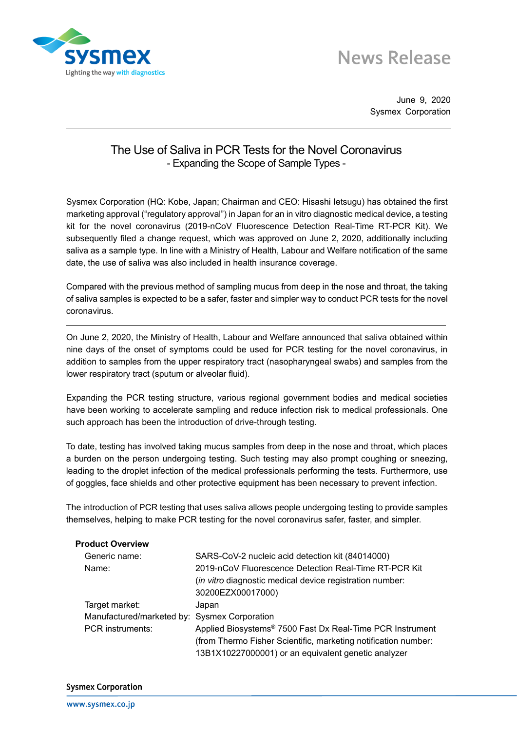

## **News Release**

June 9, 2020 Sysmex Corporation

## The Use of Saliva in PCR Tests for the Novel Coronavirus - Expanding the Scope of Sample Types -

Sysmex Corporation (HQ: Kobe, Japan; Chairman and CEO: Hisashi Ietsugu) has obtained the first marketing approval ("regulatory approval") in Japan for an in vitro diagnostic medical device, a testing kit for the novel coronavirus (2019-nCoV Fluorescence Detection Real-Time RT-PCR Kit). We subsequently filed a change request, which was approved on June 2, 2020, additionally including saliva as a sample type. In line with a Ministry of Health, Labour and Welfare notification of the same date, the use of saliva was also included in health insurance coverage.

Compared with the previous method of sampling mucus from deep in the nose and throat, the taking of saliva samples is expected to be a safer, faster and simpler way to conduct PCR tests for the novel coronavirus.

On June 2, 2020, the Ministry of Health, Labour and Welfare announced that saliva obtained within nine days of the onset of symptoms could be used for PCR testing for the novel coronavirus, in addition to samples from the upper respiratory tract (nasopharyngeal swabs) and samples from the lower respiratory tract (sputum or alveolar fluid).

Expanding the PCR testing structure, various regional government bodies and medical societies have been working to accelerate sampling and reduce infection risk to medical professionals. One such approach has been the introduction of drive-through testing.

To date, testing has involved taking mucus samples from deep in the nose and throat, which places a burden on the person undergoing testing. Such testing may also prompt coughing or sneezing, leading to the droplet infection of the medical professionals performing the tests. Furthermore, use of goggles, face shields and other protective equipment has been necessary to prevent infection.

The introduction of PCR testing that uses saliva allows people undergoing testing to provide samples themselves, helping to make PCR testing for the novel coronavirus safer, faster, and simpler.

| <b>Product Overview</b>                      |                                                                       |
|----------------------------------------------|-----------------------------------------------------------------------|
| Generic name:                                | SARS-CoV-2 nucleic acid detection kit (84014000)                      |
| Name:                                        | 2019-nCoV Fluorescence Detection Real-Time RT-PCR Kit                 |
|                                              | <i>(in vitro</i> diagnostic medical device registration number:       |
|                                              | 30200EZX00017000)                                                     |
| Target market:                               | Japan                                                                 |
| Manufactured/marketed by: Sysmex Corporation |                                                                       |
| <b>PCR</b> instruments:                      | Applied Biosystems <sup>®</sup> 7500 Fast Dx Real-Time PCR Instrument |
|                                              | (from Thermo Fisher Scientific, marketing notification number:        |
|                                              | 13B1X10227000001) or an equivalent genetic analyzer                   |

## **Sysmex Corporation**